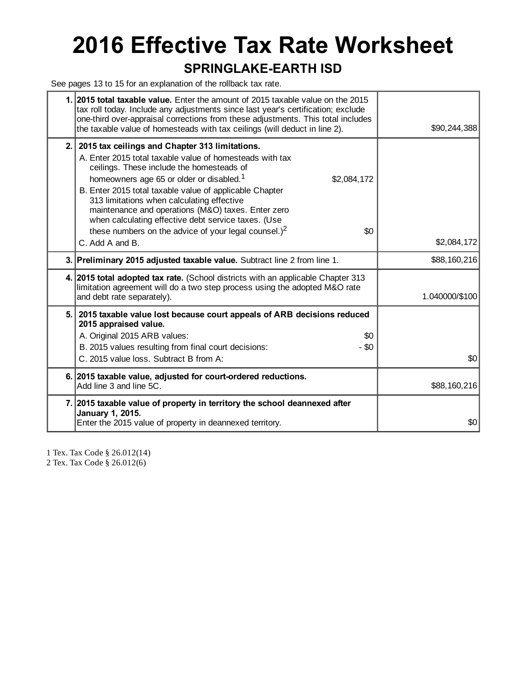# **2016 Effective Tax Rate Worksheet**

#### **SPRINGLAKE-EARTH ISD**

See pages 13 to 15 for an explanation of the rollback tax rate.

|     | 1. 2015 total taxable value. Enter the amount of 2015 taxable value on the 2015<br>tax roll today. Include any adjustments since last year's certification; exclude<br>one-third over-appraisal corrections from these adjustments. This total includes<br>the taxable value of homesteads with tax ceilings (will deduct in line 2).                                                                                                                                                                                  | \$90,244,388   |
|-----|------------------------------------------------------------------------------------------------------------------------------------------------------------------------------------------------------------------------------------------------------------------------------------------------------------------------------------------------------------------------------------------------------------------------------------------------------------------------------------------------------------------------|----------------|
| 2.1 | 2015 tax ceilings and Chapter 313 limitations.<br>A. Enter 2015 total taxable value of homesteads with tax<br>ceilings. These include the homesteads of<br>homeowners age 65 or older or disabled. <sup>1</sup><br>\$2,084,172<br>B. Enter 2015 total taxable value of applicable Chapter<br>313 limitations when calculating effective<br>maintenance and operations (M&O) taxes. Enter zero<br>when calculating effective debt service taxes. (Use<br>these numbers on the advice of your legal counsel.) $2$<br>\$0 |                |
|     | C. Add A and B.                                                                                                                                                                                                                                                                                                                                                                                                                                                                                                        | \$2,084,172    |
|     | 3. Preliminary 2015 adjusted taxable value. Subtract line 2 from line 1.                                                                                                                                                                                                                                                                                                                                                                                                                                               | \$88,160,216   |
|     | 4. 2015 total adopted tax rate. (School districts with an applicable Chapter 313<br>limitation agreement will do a two step process using the adopted M&O rate<br>and debt rate separately).                                                                                                                                                                                                                                                                                                                           | 1.040000/\$100 |
| 5.1 | 2015 taxable value lost because court appeals of ARB decisions reduced<br>2015 appraised value.<br>A. Original 2015 ARB values:<br>\$0<br>$-$ \$0<br>B. 2015 values resulting from final court decisions:<br>C. 2015 value loss. Subtract B from A:                                                                                                                                                                                                                                                                    | \$0            |
|     | 6. 2015 taxable value, adjusted for court-ordered reductions.<br>Add line 3 and line 5C.                                                                                                                                                                                                                                                                                                                                                                                                                               | \$88,160,216   |
|     | 7. 2015 taxable value of property in territory the school deannexed after<br>January 1, 2015.<br>Enter the 2015 value of property in deannexed territory.                                                                                                                                                                                                                                                                                                                                                              | \$0            |
|     |                                                                                                                                                                                                                                                                                                                                                                                                                                                                                                                        |                |

1 Tex. Tax Code § 26.012(14)

2 Tex. Tax Code § 26.012(6)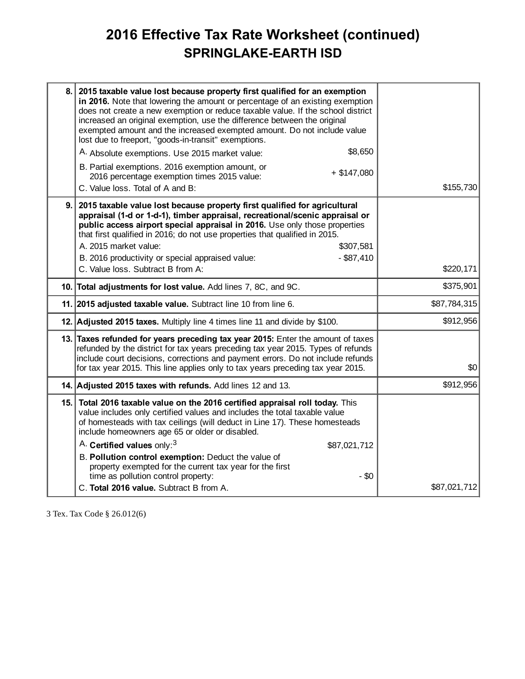## **2016 Effective Tax Rate Worksheet (continued) SPRINGLAKE-EARTH ISD**

| 8. | 2015 taxable value lost because property first qualified for an exemption<br>in 2016. Note that lowering the amount or percentage of an existing exemption<br>does not create a new exemption or reduce taxable value. If the school district<br>increased an original exemption, use the difference between the original<br>exempted amount and the increased exempted amount. Do not include value<br>lost due to freeport, "goods-in-transit" exemptions.          |              |
|----|-----------------------------------------------------------------------------------------------------------------------------------------------------------------------------------------------------------------------------------------------------------------------------------------------------------------------------------------------------------------------------------------------------------------------------------------------------------------------|--------------|
|    | \$8,650<br>A. Absolute exemptions. Use 2015 market value:                                                                                                                                                                                                                                                                                                                                                                                                             |              |
|    | B. Partial exemptions. 2016 exemption amount, or<br>$+$ \$147,080<br>2016 percentage exemption times 2015 value:<br>C. Value loss. Total of A and B:                                                                                                                                                                                                                                                                                                                  | \$155,730    |
| 9. | 2015 taxable value lost because property first qualified for agricultural<br>appraisal (1-d or 1-d-1), timber appraisal, recreational/scenic appraisal or<br>public access airport special appraisal in 2016. Use only those properties<br>that first qualified in 2016; do not use properties that qualified in 2015.<br>A. 2015 market value:<br>\$307,581<br>$-$ \$87,410<br>B. 2016 productivity or special appraised value:<br>C. Value loss. Subtract B from A: | \$220,171    |
|    | 10. Total adjustments for lost value. Add lines 7, 8C, and 9C.                                                                                                                                                                                                                                                                                                                                                                                                        | \$375,901    |
|    | 11. 2015 adjusted taxable value. Subtract line 10 from line 6.                                                                                                                                                                                                                                                                                                                                                                                                        | \$87,784,315 |
|    | 12. Adjusted 2015 taxes. Multiply line 4 times line 11 and divide by \$100.                                                                                                                                                                                                                                                                                                                                                                                           | \$912,956    |
|    | 13. Taxes refunded for years preceding tax year 2015: Enter the amount of taxes<br>refunded by the district for tax years preceding tax year 2015. Types of refunds<br>include court decisions, corrections and payment errors. Do not include refunds<br>for tax year 2015. This line applies only to tax years preceding tax year 2015.                                                                                                                             | \$0          |
|    | 14. Adjusted 2015 taxes with refunds. Add lines 12 and 13.                                                                                                                                                                                                                                                                                                                                                                                                            | \$912,956    |
|    | 15. Total 2016 taxable value on the 2016 certified appraisal roll today. This<br>value includes only certified values and includes the total taxable value<br>of homesteads with tax ceilings (will deduct in Line 17). These homesteads<br>include homeowners age 65 or older or disabled.                                                                                                                                                                           |              |
|    | A. Certified values only: <sup>3</sup><br>\$87,021,712                                                                                                                                                                                                                                                                                                                                                                                                                |              |
|    | B. Pollution control exemption: Deduct the value of<br>property exempted for the current tax year for the first<br>time as pollution control property:<br>$-$ \$0                                                                                                                                                                                                                                                                                                     |              |
|    | C. Total 2016 value. Subtract B from A.                                                                                                                                                                                                                                                                                                                                                                                                                               | \$87,021,712 |
|    |                                                                                                                                                                                                                                                                                                                                                                                                                                                                       |              |

3 Tex. Tax Code § 26.012(6)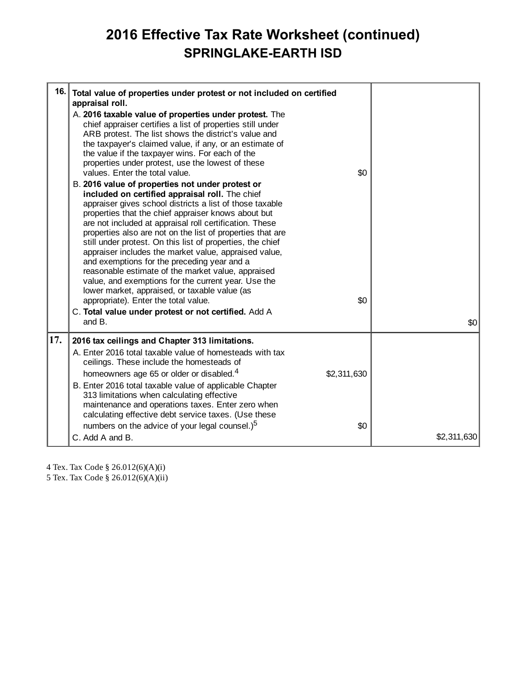### **2016 Effective Tax Rate Worksheet (continued) SPRINGLAKE-EARTH ISD**

| 16.<br>Total value of properties under protest or not included on certified<br>appraisal roll.<br>A. 2016 taxable value of properties under protest. The                                                                                                                                                                                                                                                                                                                                                                                                                                                                                                                                                                                                                                             |             |
|------------------------------------------------------------------------------------------------------------------------------------------------------------------------------------------------------------------------------------------------------------------------------------------------------------------------------------------------------------------------------------------------------------------------------------------------------------------------------------------------------------------------------------------------------------------------------------------------------------------------------------------------------------------------------------------------------------------------------------------------------------------------------------------------------|-------------|
|                                                                                                                                                                                                                                                                                                                                                                                                                                                                                                                                                                                                                                                                                                                                                                                                      |             |
| chief appraiser certifies a list of properties still under<br>ARB protest. The list shows the district's value and<br>the taxpayer's claimed value, if any, or an estimate of<br>the value if the taxpayer wins. For each of the<br>properties under protest, use the lowest of these<br>values. Enter the total value.<br>\$0                                                                                                                                                                                                                                                                                                                                                                                                                                                                       |             |
| B. 2016 value of properties not under protest or<br>included on certified appraisal roll. The chief<br>appraiser gives school districts a list of those taxable<br>properties that the chief appraiser knows about but<br>are not included at appraisal roll certification. These<br>properties also are not on the list of properties that are<br>still under protest. On this list of properties, the chief<br>appraiser includes the market value, appraised value,<br>and exemptions for the preceding year and a<br>reasonable estimate of the market value, appraised<br>value, and exemptions for the current year. Use the<br>lower market, appraised, or taxable value (as<br>appropriate). Enter the total value.<br>\$0<br>C. Total value under protest or not certified. Add A<br>and B. | \$0         |
| 17.<br>2016 tax ceilings and Chapter 313 limitations.<br>A. Enter 2016 total taxable value of homesteads with tax<br>ceilings. These include the homesteads of                                                                                                                                                                                                                                                                                                                                                                                                                                                                                                                                                                                                                                       |             |
| homeowners age 65 or older or disabled. <sup>4</sup><br>\$2,311,630<br>B. Enter 2016 total taxable value of applicable Chapter<br>313 limitations when calculating effective<br>maintenance and operations taxes. Enter zero when                                                                                                                                                                                                                                                                                                                                                                                                                                                                                                                                                                    |             |
| calculating effective debt service taxes. (Use these<br>numbers on the advice of your legal counsel.) <sup>5</sup><br>\$0<br>C. Add A and B.                                                                                                                                                                                                                                                                                                                                                                                                                                                                                                                                                                                                                                                         | \$2,311,630 |

4 Tex. Tax Code § 26.012(6)(A)(i)

5 Tex. Tax Code § 26.012(6)(A)(ii)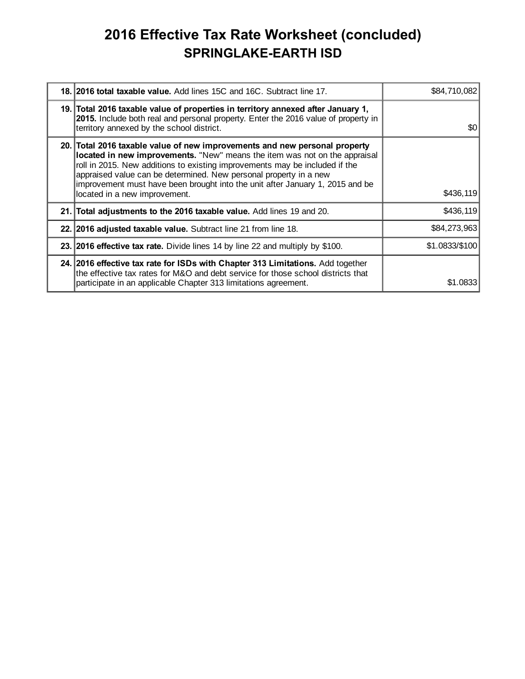## **2016 Effective Tax Rate Worksheet (concluded) SPRINGLAKE-EARTH ISD**

| 18. 2016 total taxable value. Add lines 15C and 16C. Subtract line 17.                                                                                                                                                                                                                                                                                                                                                         | \$84,710,082   |
|--------------------------------------------------------------------------------------------------------------------------------------------------------------------------------------------------------------------------------------------------------------------------------------------------------------------------------------------------------------------------------------------------------------------------------|----------------|
| 19. Total 2016 taxable value of properties in territory annexed after January 1,<br>2015. Include both real and personal property. Enter the 2016 value of property in<br>territory annexed by the school district.                                                                                                                                                                                                            | <b>SO</b>      |
| 20. Total 2016 taxable value of new improvements and new personal property<br>located in new improvements. "New" means the item was not on the appraisal<br>roll in 2015. New additions to existing improvements may be included if the<br>appraised value can be determined. New personal property in a new<br>improvement must have been brought into the unit after January 1, 2015 and be<br>located in a new improvement. | \$436,119      |
| 21. Total adjustments to the 2016 taxable value. Add lines 19 and 20.                                                                                                                                                                                                                                                                                                                                                          | \$436,119      |
| 22. 2016 adjusted taxable value. Subtract line 21 from line 18.                                                                                                                                                                                                                                                                                                                                                                | \$84,273,963   |
| 23. 2016 effective tax rate. Divide lines 14 by line 22 and multiply by \$100.                                                                                                                                                                                                                                                                                                                                                 | \$1.0833/\$100 |
| 24. 2016 effective tax rate for ISDs with Chapter 313 Limitations. Add together<br>the effective tax rates for M&O and debt service for those school districts that<br>participate in an applicable Chapter 313 limitations agreement.                                                                                                                                                                                         | \$1.0833       |
|                                                                                                                                                                                                                                                                                                                                                                                                                                |                |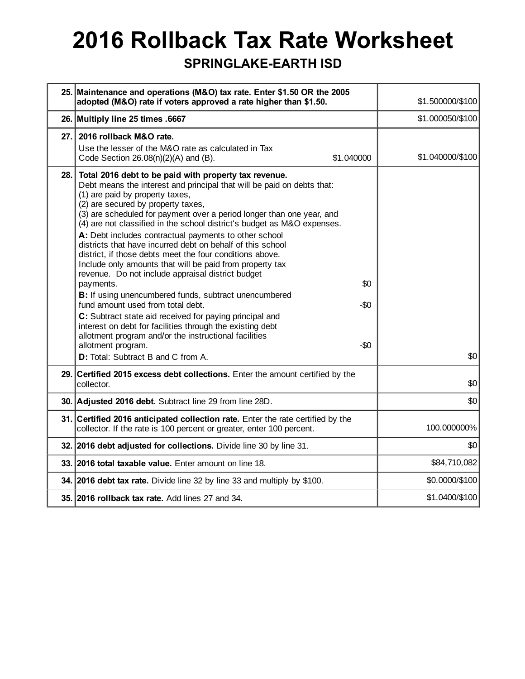# **2016 Rollback Tax Rate Worksheet**

#### **SPRINGLAKE-EARTH ISD**

| 25. Maintenance and operations (M&O) tax rate. Enter \$1.50 OR the 2005<br>adopted (M&O) rate if voters approved a rate higher than \$1.50.                                                                                                                                                                                                                                                                                                                                                                                                                                                                                                                                                                                                                                                                                                                                                                                                                                                                                                                | \$1.500000/\$100 |
|------------------------------------------------------------------------------------------------------------------------------------------------------------------------------------------------------------------------------------------------------------------------------------------------------------------------------------------------------------------------------------------------------------------------------------------------------------------------------------------------------------------------------------------------------------------------------------------------------------------------------------------------------------------------------------------------------------------------------------------------------------------------------------------------------------------------------------------------------------------------------------------------------------------------------------------------------------------------------------------------------------------------------------------------------------|------------------|
| 26. Multiply line 25 times .6667                                                                                                                                                                                                                                                                                                                                                                                                                                                                                                                                                                                                                                                                                                                                                                                                                                                                                                                                                                                                                           | \$1.000050/\$100 |
| 27.<br>2016 rollback M&O rate.<br>Use the lesser of the M&O rate as calculated in Tax<br>Code Section $26.08(n)(2)(A)$ and $(B)$ .<br>\$1.040000                                                                                                                                                                                                                                                                                                                                                                                                                                                                                                                                                                                                                                                                                                                                                                                                                                                                                                           | \$1.040000/\$100 |
| Total 2016 debt to be paid with property tax revenue.<br>28.<br>Debt means the interest and principal that will be paid on debts that:<br>(1) are paid by property taxes,<br>(2) are secured by property taxes,<br>(3) are scheduled for payment over a period longer than one year, and<br>(4) are not classified in the school district's budget as M&O expenses.<br>A: Debt includes contractual payments to other school<br>districts that have incurred debt on behalf of this school<br>district, if those debts meet the four conditions above.<br>Include only amounts that will be paid from property tax<br>revenue. Do not include appraisal district budget<br>\$0<br>payments.<br>B: If using unencumbered funds, subtract unencumbered<br>fund amount used from total debt.<br>$-\$0$<br>C: Subtract state aid received for paying principal and<br>interest on debt for facilities through the existing debt<br>allotment program and/or the instructional facilities<br>allotment program.<br>$-\$0$<br>D: Total: Subtract B and C from A. | \$0              |
| Certified 2015 excess debt collections. Enter the amount certified by the<br>29.<br>collector.                                                                                                                                                                                                                                                                                                                                                                                                                                                                                                                                                                                                                                                                                                                                                                                                                                                                                                                                                             | \$0              |
| 30. Adjusted 2016 debt. Subtract line 29 from line 28D.                                                                                                                                                                                                                                                                                                                                                                                                                                                                                                                                                                                                                                                                                                                                                                                                                                                                                                                                                                                                    | \$0              |
| 31. Certified 2016 anticipated collection rate. Enter the rate certified by the<br>collector. If the rate is 100 percent or greater, enter 100 percent.                                                                                                                                                                                                                                                                                                                                                                                                                                                                                                                                                                                                                                                                                                                                                                                                                                                                                                    | 100.000000%      |
| 32. 2016 debt adjusted for collections. Divide line 30 by line 31.                                                                                                                                                                                                                                                                                                                                                                                                                                                                                                                                                                                                                                                                                                                                                                                                                                                                                                                                                                                         | \$0              |
| 33. 2016 total taxable value. Enter amount on line 18.                                                                                                                                                                                                                                                                                                                                                                                                                                                                                                                                                                                                                                                                                                                                                                                                                                                                                                                                                                                                     | \$84,710,082     |
| 34. 2016 debt tax rate. Divide line 32 by line 33 and multiply by \$100.                                                                                                                                                                                                                                                                                                                                                                                                                                                                                                                                                                                                                                                                                                                                                                                                                                                                                                                                                                                   | \$0.0000/\$100   |
| 35. 2016 rollback tax rate. Add lines 27 and 34.                                                                                                                                                                                                                                                                                                                                                                                                                                                                                                                                                                                                                                                                                                                                                                                                                                                                                                                                                                                                           | \$1.0400/\$100   |